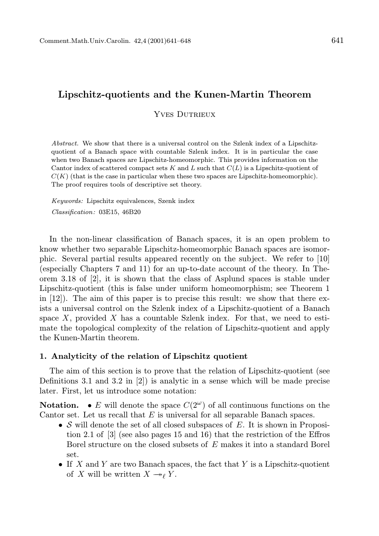# Lipschitz-quotients and the Kunen-Martin Theorem

YVES DUTRIEUX

Abstract. We show that there is a universal control on the Szlenk index of a Lipschitzquotient of a Banach space with countable Szlenk index. It is in particular the case when two Banach spaces are Lipschitz-homeomorphic. This provides information on the Cantor index of scattered compact sets K and L such that  $C(L)$  is a Lipschitz-quotient of  $C(K)$  (that is the case in particular when these two spaces are Lipschitz-homeomorphic). The proof requires tools of descriptive set theory.

Keywords: Lipschitz equivalences, Szenk index Classification: 03E15, 46B20

In the non-linear classification of Banach spaces, it is an open problem to know whether two separable Lipschitz-homeomorphic Banach spaces are isomorphic. Several partial results appeared recently on the subject. We refer to [10] (especially Chapters 7 and 11) for an up-to-date account of the theory. In Theorem 3.18 of [2], it is shown that the class of Asplund spaces is stable under Lipschitz-quotient (this is false under uniform homeomorphism; see Theorem 1 in  $[12]$ ). The aim of this paper is to precise this result: we show that there exists a universal control on the Szlenk index of a Lipschitz-quotient of a Banach space  $X$ , provided  $X$  has a countable Szlenk index. For that, we need to estimate the topological complexity of the relation of Lipschitz-quotient and apply the Kunen-Martin theorem.

## 1. Analyticity of the relation of Lipschitz quotient

The aim of this section is to prove that the relation of Lipschitz-quotient (see Definitions 3.1 and 3.2 in [2]) is analytic in a sense which will be made precise later. First, let us introduce some notation:

**Notation.** • E will denote the space  $C(2^{\omega})$  of all continuous functions on the Cantor set. Let us recall that E is universal for all separable Banach spaces.

- S will denote the set of all closed subspaces of  $E$ . It is shown in Proposition 2.1 of [3] (see also pages 15 and 16) that the restriction of the Effros Borel structure on the closed subsets of E makes it into a standard Borel set.
- If X and Y are two Banach spaces, the fact that Y is a Lipschitz-quotient of X will be written  $X \rightarrow_{\ell} Y$ .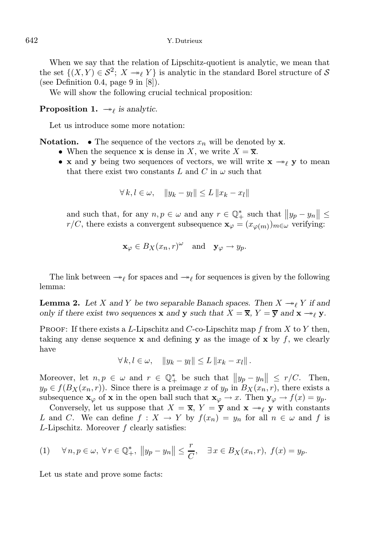When we say that the relation of Lipschitz-quotient is analytic, we mean that the set  $\{(X,Y)\in\mathcal{S}^2;\;X\rightarrow_{\ell} Y\}$  is analytic in the standard Borel structure of  $\mathcal S$ (see Definition 0.4, page 9 in [8]).

We will show the following crucial technical proposition:

**Proposition 1.**  $\rightarrow_{\ell}$  is analytic.

Let us introduce some more notation:

**Notation.** • The sequence of the vectors  $x_n$  will be denoted by **x**.

- When the sequence **x** is dense in X, we write  $X = \overline{\mathbf{x}}$ .
- x and y being two sequences of vectors, we will write  $x \rightarrow y$  y to mean that there exist two constants L and C in  $\omega$  such that

$$
\forall k, l \in \omega, \quad \|y_k - y_l\| \le L \|x_k - x_l\|
$$

and such that, for any  $n, p \in \omega$  and any  $r \in \mathbb{Q}_{+}^{*}$  such that  $||y_{p} - y_{n}|| \leq$  $r/C$ , there exists a convergent subsequence  $\mathbf{x}_{\varphi} = (x_{\varphi(m)})_{m \in \omega}$  verifying:

$$
\mathbf{x}_{\varphi} \in B_X(x_n, r)^{\omega} \quad \text{and} \quad \mathbf{y}_{\varphi} \to y_p.
$$

The link between  $\rightarrow_{\ell}$  for spaces and  $\rightarrow_{\ell}$  for sequences is given by the following lemma:

**Lemma 2.** Let X and Y be two separable Banach spaces. Then  $X \rightarrow \ell Y$  if and only if there exist two sequences **x** and **y** such that  $X = \overline{\mathbf{x}}, Y = \overline{\mathbf{y}}$  and  $\mathbf{x} \rightarrow_\ell \mathbf{y}$ .

PROOF: If there exists a L-Lipschitz and C-co-Lipschitz map f from X to Y then, taking any dense sequence  $x$  and defining  $y$  as the image of  $x$  by  $f$ , we clearly have

 $\forall k, l \in \omega, \quad ||y_k - y_l|| \leq L ||x_k - x_l||$ .

Moreover, let  $n, p \in \omega$  and  $r \in \mathbb{Q}_+^*$  be such that  $||y_p - y_n|| \leq r/C$ . Then,  $y_p \in f(B_X(x_n, r))$ . Since there is a preimage x of  $y_p$  in  $B_X(x_n, r)$ , there exists a subsequence  $\mathbf{x}_{\varphi}$  of  $\mathbf{x}$  in the open ball such that  $\mathbf{x}_{\varphi} \to x$ . Then  $\mathbf{y}_{\varphi} \to f(x) = y_p$ .

Conversely, let us suppose that  $X = \overline{\mathbf{x}}, Y = \overline{\mathbf{y}}$  and  $\mathbf{x} \rightarrow \ell \mathbf{y}$  with constants L and C. We can define  $f: X \to Y$  by  $f(x_n) = y_n$  for all  $n \in \omega$  and f is L-Lipschitz. Moreover f clearly satisfies:

(1) 
$$
\forall n, p \in \omega, \forall r \in \mathbb{Q}_+^*, ||y_p - y_n|| \leq \frac{r}{C}, \quad \exists x \in B_X(x_n, r), f(x) = y_p.
$$

Let us state and prove some facts: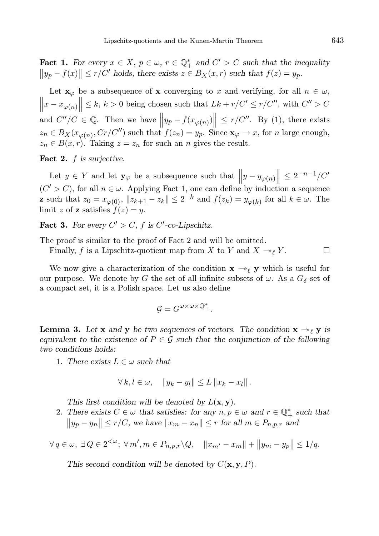**Fact 1.** For every  $x \in X$ ,  $p \in \omega$ ,  $r \in \mathbb{Q}_+^*$  and  $C' > C$  such that the inequality  $||y_p - f(x)|| \le r/C'$  holds, there exists  $z \in B_X(x, r)$  such that  $f(z) = y_p$ .

Let  $\mathbf{x}_{\varphi}$  be a subsequence of x converging to x and verifying, for all  $n \in \omega$ ,  $\left\|x - x_{\varphi(n)}\right\| \le k, k > 0$  being chosen such that  $Lk + r/C' \le r/C''$ , with  $C'' > C$ and  $C''/C \in \mathbb{Q}$ . Then we have  $||y_p - f(x_{\varphi(n)})|| \le r/C''$ . By (1), there exists  $z_n \in B_X(x_{\varphi(n)}, Cr/C'')$  such that  $f(z_n) = y_p$ . Since  $\mathbf{x}_{\varphi} \to x$ , for n large enough,  $z_n \in B(x,r)$ . Taking  $z = z_n$  for such an n gives the result.

Fact 2.  $f$  is surjective.

Let  $y \in Y$  and let  $\mathbf{y}_{\varphi}$  be a subsequence such that  $||y - y_{\varphi(n)}|| \leq 2^{-n-1}/C'$  $(C' > C)$ , for all  $n \in \omega$ . Applying Fact 1, one can define by induction a sequence **z** such that  $z_0 = x_{\varphi(0)}$ ,  $||z_{k+1} - z_k|| \leq 2^{-k}$  and  $f(z_k) = y_{\varphi(k)}$  for all  $k \in \omega$ . The limit z of **z** satisfies  $f(z) = y$ .

Fact 3. For every  $C' > C$ , f is  $C'$ -co-Lipschitz.

The proof is similar to the proof of Fact 2 and will be omitted.

Finally, f is a Lipschitz-quotient map from X to Y and  $X \to_{\ell} Y$ .

We now give a characterization of the condition  $\mathbf{x} \rightarrow e \mathbf{y}$  which is useful for our purpose. We denote by G the set of all infinite subsets of  $\omega$ . As a  $G_{\delta}$  set of a compact set, it is a Polish space. Let us also define

$$
\mathcal{G}=G^{\omega\times\omega\times\mathbb{Q}^*_+}.
$$

**Lemma 3.** Let x and y be two sequences of vectors. The condition  $x \rightarrow \ell y$  is equivalent to the existence of  $P \in \mathcal{G}$  such that the conjunction of the following two conditions holds:

1. There exists  $L \in \omega$  such that

$$
\forall k, l \in \omega, \quad \|y_k - y_l\| \le L \|x_k - x_l\|.
$$

This first condition will be denoted by  $L(\mathbf{x}, \mathbf{y})$ .

2. There exists  $C \in \omega$  that satisfies: for any  $n, p \in \omega$  and  $r \in \mathbb{Q}_+^*$  such that  $||y_p - y_n|| \le r/C$ , we have  $||x_m - x_n|| \le r$  for all  $m \in P_{n,p,r}$  and

$$
\forall q \in \omega, \ \exists Q \in 2^{<\omega}; \ \forall m', m \in P_{n,p,r} \setminus Q, \quad ||x_{m'} - x_m|| + ||y_m - y_p|| \le 1/q.
$$

This second condition will be denoted by  $C(\mathbf{x}, \mathbf{y}, P)$ .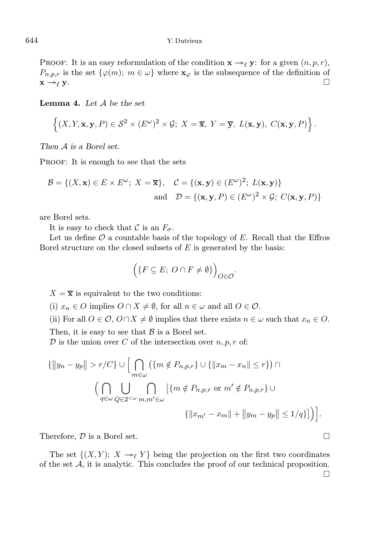PROOF: It is an easy reformulation of the condition  $\mathbf{x} \rightarrow e \mathbf{y}$ : for a given  $(n, p, r)$ ,  $P_{n,p,r}$  is the set  $\{\varphi(m);\;m\in\omega\}$  where  $\mathbf{x}_{\varphi}$  is the subsequence of the definition of  $x \rightarrow_{\ell} y$ .

**Lemma 4.** Let  $A$  be the set

$$
\left\{ (X,Y,\mathbf{x},\mathbf{y},P) \in \mathcal{S}^2 \times (E^\omega)^2 \times \mathcal{G}; \ X = \overline{\mathbf{x}}, \ Y = \overline{\mathbf{y}}, \ L(\mathbf{x},\mathbf{y}), \ C(\mathbf{x},\mathbf{y},P) \right\}.
$$

Then A is a Borel set.

PROOF: It is enough to see that the sets

$$
\mathcal{B} = \{ (X, \mathbf{x}) \in E \times E^{\omega}; \ X = \overline{\mathbf{x}} \}, \quad \mathcal{C} = \{ (\mathbf{x}, \mathbf{y}) \in (E^{\omega})^2; \ L(\mathbf{x}, \mathbf{y}) \}
$$
  
and 
$$
\mathcal{D} = \{ (\mathbf{x}, \mathbf{y}, P) \in (E^{\omega})^2 \times \mathcal{G}; \ C(\mathbf{x}, \mathbf{y}, P) \}
$$

are Borel sets.

It is easy to check that C is an  $F_{\sigma}$ .

Let us define  $\mathcal O$  a countable basis of the topology of  $E$ . Recall that the Effros Borel structure on the closed subsets of  $E$  is generated by the basis:

$$
\Big(\{F\subseteq E;\ O\cap F\neq\emptyset\}\Big)_{O\in\mathcal{O}}.
$$

 $X = \overline{\mathbf{x}}$  is equivalent to the two conditions:

(i)  $x_n \in O$  implies  $O \cap X \neq \emptyset$ , for all  $n \in \omega$  and all  $O \in \mathcal{O}$ .

(ii) For all  $O \in \mathcal{O}$ ,  $O \cap X \neq \emptyset$  implies that there exists  $n \in \omega$  such that  $x_n \in O$ .

Then, it is easy to see that  $\beta$  is a Borel set.

 $D$  is the union over C of the intersection over  $n, p, r$  of:

$$
\{\|y_n - y_p\| > r/C\} \cup \Big[\bigcap_{m \in \omega} (\{m \notin P_{n,p,r}\} \cup \{\|x_m - x_n\| \le r\}) \cap
$$
  

$$
\Big(\bigcap_{q \in \omega} \bigcup_{Q \in 2^{<\omega}} \bigcap_{m,m' \in \omega} [\{m \notin P_{n,p,r} \text{ or } m' \notin P_{n,p,r}\} \cup
$$
  

$$
\{\|x_{m'} - x_m\| + \|y_m - y_p\| \le 1/q\}\Big]\Big).
$$

Therefore,  $\mathcal{D}$  is a Borel set.

The set  $\{(X, Y); X \rightarrow_{\ell} Y\}$  being the projection on the first two coordinates of the set  $A$ , it is analytic. This concludes the proof of our technical proposition.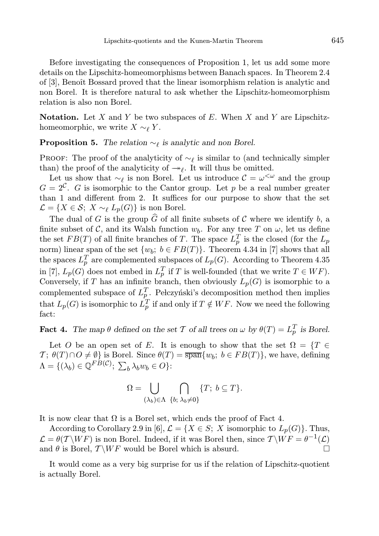Before investigating the consequences of Proposition 1, let us add some more details on the Lipschitz-homeomorphisms between Banach spaces. In Theorem 2.4 of [3], Benoît Bossard proved that the linear isomorphism relation is analytic and non Borel. It is therefore natural to ask whether the Lipschitz-homeomorphism relation is also non Borel.

**Notation.** Let  $X$  and  $Y$  be two subspaces of  $E$ . When  $X$  and  $Y$  are Lipschitzhomeomorphic, we write  $X \sim_{\ell} Y$ .

**Proposition 5.** The relation  $\sim_{\ell}$  is analytic and non Borel.

PROOF: The proof of the analyticity of  $\sim_{\ell}$  is similar to (and technically simpler than) the proof of the analyticity of  $\rightarrow_{\ell}$ . It will thus be omitted.

Let us show that  $\sim_{\ell}$  is non Borel. Let us introduce  $\mathcal{C} = \omega^{\lt \omega}$  and the group  $G = 2^{\mathcal{C}}$ . G is isomorphic to the Cantor group. Let p be a real number greater than 1 and different from 2. It suffices for our purpose to show that the set  $\mathcal{L} = \{X \in \mathcal{S}; X \sim_{\ell} L_p(G)\}\$ is non Borel.

The dual of G is the group  $\widehat{G}$  of all finite subsets of C where we identify b, a finite subset of C, and its Walsh function  $w_b$ . For any tree T on  $\omega$ , let us define the set  $FB(T)$  of all finite branches of T. The space  $L_p^T$  is the closed (for the  $L_p$ norm) linear span of the set  $\{w_b; b \in FB(T)\}$ . Theorem 4.34 in [7] shows that all the spaces  $L_p^T$  are complemented subspaces of  $L_p(G)$ . According to Theorem 4.35 in [7],  $L_p(G)$  does not embed in  $L_p^T$  if T is well-founded (that we write  $T \in WF$ ). Conversely, if T has an infinite branch, then obviously  $L_p(G)$  is isomorphic to a complemented subspace of  $L_p^T$ . Pelczyński's decomposition method then implies that  $L_p(G)$  is isomorphic to  $L_p^T$  if and only if  $T \notin WF$ . Now we need the following fact:

**Fact 4.** The map  $\theta$  defined on the set T of all trees on  $\omega$  by  $\theta(T) = L_p^T$  is Borel.

Let O be an open set of E. It is enough to show that the set  $\Omega = \{T \in$  $T; \theta(T) \cap O \neq \emptyset$  is Borel. Since  $\theta(T) = \overline{\text{span}}\{w_b; b \in FB(T)\}\text{, we have, defining }$  $\Lambda = \{(\lambda_b) \in \mathbb{Q}^{FB(\mathcal{C})}; \ \sum_b \lambda_b w_b \in O\}$ :

$$
\Omega = \bigcup_{(\lambda_b) \in \Lambda} \bigcap_{\{b; \ \lambda_b \neq 0\}} \{T; \ b \subseteq T\}.
$$

It is now clear that  $\Omega$  is a Borel set, which ends the proof of Fact 4.

According to Corollary 2.9 in [6],  $\mathcal{L} = \{X \in S; X \text{ isomorphic to } L_p(G)\}.$  Thus,  $\mathcal{L} = \theta(T \backslash WF)$  is non Borel. Indeed, if it was Borel then, since  $T \backslash WF = \theta^{-1}(\mathcal{L})$ and  $\theta$  is Borel,  $\mathcal{T} \backslash WF$  would be Borel which is absurd.

It would come as a very big surprise for us if the relation of Lipschitz-quotient is actually Borel.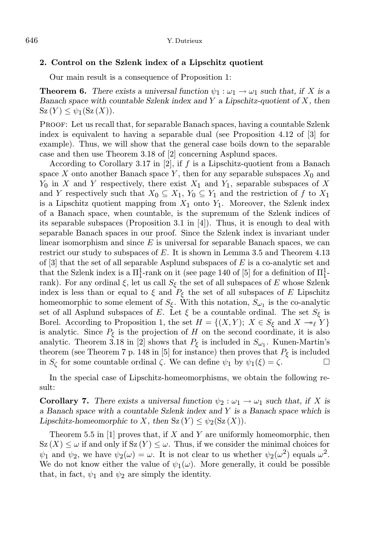## 2. Control on the Szlenk index of a Lipschitz quotient

Our main result is a consequence of Proposition 1:

**Theorem 6.** There exists a universal function  $\psi_1 : \omega_1 \to \omega_1$  such that, if X is a Banach space with countable Szlenk index and  $Y$  a Lipschitz-quotient of  $X$ , then  $Sz(Y) \leq \psi_1(Sz(X)).$ 

Proof: Let us recall that, for separable Banach spaces, having a countable Szlenk index is equivalent to having a separable dual (see Proposition 4.12 of [3] for example). Thus, we will show that the general case boils down to the separable case and then use Theorem 3.18 of [2] concerning Asplund spaces.

According to Corollary 3.17 in  $[2]$ , if  $f$  is a Lipschitz-quotient from a Banach space X onto another Banach space Y, then for any separable subspaces  $X_0$  and  $Y_0$  in X and Y respectively, there exist  $X_1$  and  $Y_1$ , separable subspaces of X and Y respectively such that  $X_0 \subseteq X_1, Y_0 \subseteq Y_1$  and the restriction of f to  $X_1$ is a Lipschitz quotient mapping from  $X_1$  onto  $Y_1$ . Moreover, the Szlenk index of a Banach space, when countable, is the supremum of the Szlenk indices of its separable subspaces (Proposition 3.1 in [4]). Thus, it is enough to deal with separable Banach spaces in our proof. Since the Szlenk index is invariant under linear isomorphism and since  $E$  is universal for separable Banach spaces, we can restrict our study to subspaces of E. It is shown in Lemma 3.5 and Theorem 4.13 of  $|3|$  that the set of all separable Asplund subspaces of E is a co-analytic set and that the Szlenk index is a  $\Pi^1_1$ -rank on it (see page 140 of [5] for a definition of  $\Pi^1_1$ rank). For any ordinal  $\xi$ , let us call  $S_{\xi}$  the set of all subspaces of E whose Szlenk index is less than or equal to  $\xi$  and  $P_{\xi}$  the set of all subspaces of E Lipschitz homeomorphic to some element of  $S_{\xi}$ . With this notation,  $S_{\omega_1}$  is the co-analytic set of all Asplund subspaces of E. Let  $\xi$  be a countable ordinal. The set  $S_{\xi}$  is Borel. According to Proposition 1, the set  $H = \{(X, Y); X \in S_{\xi} \text{ and } X \to_{\ell} Y\}$ is analytic. Since  $P_{\xi}$  is the projection of H on the second coordinate, it is also analytic. Theorem 3.18 in [2] shows that  $P_{\xi}$  is included in  $S_{\omega_1}$ . Kunen-Martin's theorem (see Theorem 7 p. 148 in [5] for instance) then proves that  $P_{\xi}$  is included in  $S_{\zeta}$  for some countable ordinal  $\zeta$ . We can define  $\psi_1$  by  $\psi_1(\xi) = \zeta$ .

In the special case of Lipschitz-homeomorphisms, we obtain the following result:

**Corollary 7.** There exists a universal function  $\psi_2 : \omega_1 \to \omega_1$  such that, if X is a Banach space with a countable Szlenk index and Y is a Banach space which is Lipschitz-homeomorphic to X, then  $Sz(Y) \leq \psi_2(Sz(X))$ .

Theorem 5.5 in [1] proves that, if X and Y are uniformly homeomorphic, then  $Sz(X) \leq \omega$  if and only if  $Sz(Y) \leq \omega$ . Thus, if we consider the minimal choices for  $\psi_1$  and  $\psi_2$ , we have  $\psi_2(\omega) = \omega$ . It is not clear to us whether  $\psi_2(\omega^2)$  equals  $\omega^2$ . We do not know either the value of  $\psi_1(\omega)$ . More generally, it could be possible that, in fact,  $\psi_1$  and  $\psi_2$  are simply the identity.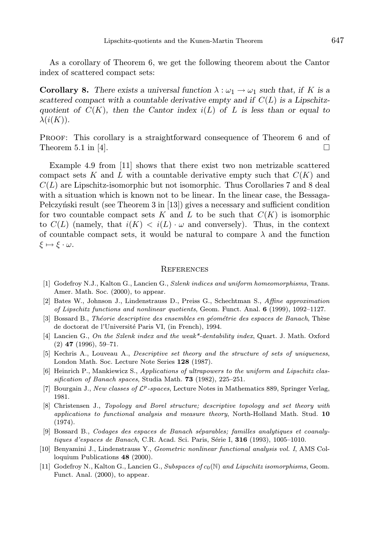As a corollary of Theorem 6, we get the following theorem about the Cantor index of scattered compact sets:

**Corollary 8.** There exists a universal function  $\lambda : \omega_1 \to \omega_1$  such that, if K is a scattered compact with a countable derivative empty and if  $C(L)$  is a Lipschitzquotient of  $C(K)$ , then the Cantor index  $i(L)$  of L is less than or equal to  $\lambda(i(K)).$ 

Proof: This corollary is a straightforward consequence of Theorem 6 and of Theorem 5.1 in [4].  $\Box$ 

Example 4.9 from [11] shows that there exist two non metrizable scattered compact sets K and L with a countable derivative empty such that  $C(K)$  and  $C(L)$  are Lipschitz-isomorphic but not isomorphic. Thus Corollaries 7 and 8 deal with a situation which is known not to be linear. In the linear case, the Bessaga-Pełczyński result (see Theorem 3 in [13]) gives a necessary and sufficient condition for two countable compact sets K and L to be such that  $C(K)$  is isomorphic to  $C(L)$  (namely, that  $i(K) < i(L) \cdot \omega$  and conversely). Thus, in the context of countable compact sets, it would be natural to compare  $\lambda$  and the function  $\xi \mapsto \xi \cdot \omega$ .

#### **REFERENCES**

- [1] Godefroy N.J., Kalton G., Lancien G., Szlenk indices and uniform homeomorphisms, Trans. Amer. Math. Soc. (2000), to appear.
- [2] Bates W., Johnson J., Lindenstrauss D., Preiss G., Schechtman S., Affine approximation of Lipschitz functions and nonlinear quotients, Geom. Funct. Anal. 6 (1999), 1092–1127.
- [3] Bossard B., Théorie descriptive des ensembles en géométrie des espaces de Banach, Thèse de doctorat de l'Université Paris VI, (in French), 1994.
- [4] Lancien G., On the Szlenk index and the weak\*-dentability index, Quart. J. Math. Oxford (2) 47 (1996), 59–71.
- [5] Kechris A., Louveau A., Descriptive set theory and the structure of sets of uniqueness, London Math. Soc. Lecture Note Series 128 (1987).
- [6] Heinrich P., Mankiewicz S., Applications of ultrapowers to the uniform and Lipschitz classification of Banach spaces, Studia Math. 73 (1982), 225–251.
- [7] Bourgain J., New classes of  $\mathcal{L}^p$ -spaces, Lecture Notes in Mathematics 889, Springer Verlag, 1981.
- [8] Christensen J., Topology and Borel structure; descriptive topology and set theory with applications to functional analysis and measure theory, North-Holland Math. Stud. 10 (1974).
- [9] Bossard B., Codages des espaces de Banach séparables; familles analytiques et coanalytiques d'espaces de Banach, C.R. Acad. Sci. Paris, Série I,  $316$  (1993), 1005–1010.
- [10] Benyamini J., Lindenstrauss Y., Geometric nonlinear functional analysis vol. I, AMS Colloquium Publications 48 (2000).
- [11] Godefroy N., Kalton G., Lancien G., Subspaces of  $c_0(\mathbb{N})$  and Lipschitz isomorphisms, Geom. Funct. Anal. (2000), to appear.